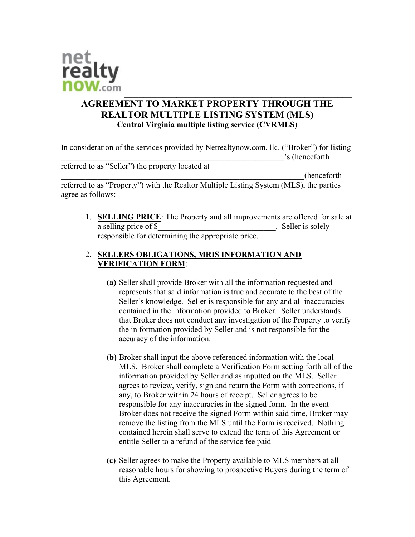

# AGREEMENT TO MARKET PROPERTY THROUGH THE REALTOR MULTIPLE LISTING SYSTEM (MLS) Central Virginia multiple listing service (CVRMLS)

In consideration of the services provided by Netrealtynow.com, llc. ("Broker") for listing \_\_\_\_\_\_\_\_\_\_\_\_\_\_\_\_\_\_\_\_\_\_\_\_\_\_\_\_\_\_\_\_\_\_\_\_\_\_\_\_\_\_\_\_\_\_\_\_\_\_\_\_\_\_\_'s (henceforth

referred to as "Seller") the property located at

\_\_\_\_\_\_\_\_\_\_\_\_\_\_\_\_\_\_\_\_\_\_\_\_\_\_\_\_\_\_\_\_\_\_\_\_\_\_\_\_\_\_\_\_\_\_\_\_\_\_\_\_\_\_\_\_\_\_\_\_(henceforth referred to as "Property") with the Realtor Multiple Listing System (MLS), the parties agree as follows:

1. SELLING PRICE: The Property and all improvements are offered for sale at a selling price of \$ responsible for determining the appropriate price.

### 2. SELLERS OBLIGATIONS, MRIS INFORMATION AND VERIFICATION FORM:

- (a) Seller shall provide Broker with all the information requested and represents that said information is true and accurate to the best of the Seller's knowledge. Seller is responsible for any and all inaccuracies contained in the information provided to Broker. Seller understands that Broker does not conduct any investigation of the Property to verify the in formation provided by Seller and is not responsible for the accuracy of the information.
- (b) Broker shall input the above referenced information with the local MLS. Broker shall complete a Verification Form setting forth all of the information provided by Seller and as inputted on the MLS. Seller agrees to review, verify, sign and return the Form with corrections, if any, to Broker within 24 hours of receipt. Seller agrees to be responsible for any inaccuracies in the signed form. In the event Broker does not receive the signed Form within said time, Broker may remove the listing from the MLS until the Form is received. Nothing contained herein shall serve to extend the term of this Agreement or entitle Seller to a refund of the service fee paid
- (c) Seller agrees to make the Property available to MLS members at all reasonable hours for showing to prospective Buyers during the term of this Agreement.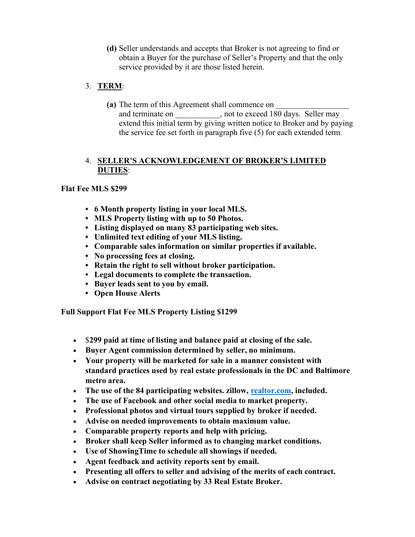(d) Seller understands and accepts that Broker is not agreeing to find or obtain a Buyer for the purchase of Seller's Property and that the only service provided by it are those listed herein.

# 3. TERM:

(a) The term of this Agreement shall commence on and terminate on  $\qquad \qquad$ , not to exceed 180 days. Seller may extend this initial term by giving written notice to Broker and by paying the service fee set forth in paragraph five (5) for each extended term.

#### 4. SELLER'S ACKNOWLEDGEMENT OF BROKER'S LIMITED DUTIES:

# Flat Fee MLS \$299

- 6 Month property listing in your local MLS.
- MLS Property listing with up to 50 Photos.
- Listing displayed on many 83 participating web sites.
- Unlimited text editing of your MLS listing.
- Comparable sales information on similar properties if available.
- No processing fees at closing.
- Retain the right to sell without broker participation.
- Legal documents to complete the transaction.
- Buyer leads sent to you by email.
- Open House Alerts

Full Support Flat Fee MLS Property Listing \$1299

- \$299 paid at time of listing and balance paid at closing of the sale.
- Buyer Agent commission determined by seller, no minimum.
- Your property will be marketed for sale in a manner consistent with standard practices used by real estate professionals in the DC and Baltimore metro area.
- The use of the 84 participating websites. zillow, realtor.com, included.
- The use of Facebook and other social media to market property.
- Professional photos and virtual tours supplied by broker if needed.
- Advise on needed improvements to obtain maximum value.
- Comparable property reports and help with pricing.
- Broker shall keep Seller informed as to changing market conditions.
- Use of ShowingTime to schedule all showings if needed.
- Agent feedback and activity reports sent by email.
- Presenting all offers to seller and advising of the merits of each contract.
- Advise on contract negotiating by 33 Real Estate Broker.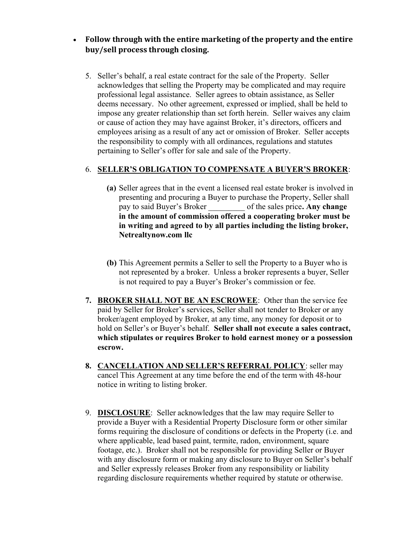# Follow through with the entire marketing of the property and the entire buy/sell process through closing.

5. Seller's behalf, a real estate contract for the sale of the Property. Seller acknowledges that selling the Property may be complicated and may require professional legal assistance. Seller agrees to obtain assistance, as Seller deems necessary. No other agreement, expressed or implied, shall be held to impose any greater relationship than set forth herein. Seller waives any claim or cause of action they may have against Broker, it's directors, officers and employees arising as a result of any act or omission of Broker. Seller accepts the responsibility to comply with all ordinances, regulations and statutes pertaining to Seller's offer for sale and sale of the Property.

#### 6. SELLER'S OBLIGATION TO COMPENSATE A BUYER'S BROKER:

- (a) Seller agrees that in the event a licensed real estate broker is involved in presenting and procuring a Buyer to purchase the Property, Seller shall pay to said Buyer's Broker of the sales price. Any change in the amount of commission offered a cooperating broker must be in writing and agreed to by all parties including the listing broker, Netrealtynow.com llc
- (b) This Agreement permits a Seller to sell the Property to a Buyer who is not represented by a broker. Unless a broker represents a buyer, Seller is not required to pay a Buyer's Broker's commission or fee.
- 7. BROKER SHALL NOT BE AN ESCROWEE: Other than the service fee paid by Seller for Broker's services, Seller shall not tender to Broker or any broker/agent employed by Broker, at any time, any money for deposit or to hold on Seller's or Buyer's behalf. Seller shall not execute a sales contract, which stipulates or requires Broker to hold earnest money or a possession escrow.
- 8. CANCELLATION AND SELLER'S REFERRAL POLICY: seller may cancel This Agreement at any time before the end of the term with 48-hour notice in writing to listing broker.
- 9. DISCLOSURE: Seller acknowledges that the law may require Seller to provide a Buyer with a Residential Property Disclosure form or other similar forms requiring the disclosure of conditions or defects in the Property (i.e. and where applicable, lead based paint, termite, radon, environment, square footage, etc.). Broker shall not be responsible for providing Seller or Buyer with any disclosure form or making any disclosure to Buyer on Seller's behalf and Seller expressly releases Broker from any responsibility or liability regarding disclosure requirements whether required by statute or otherwise.